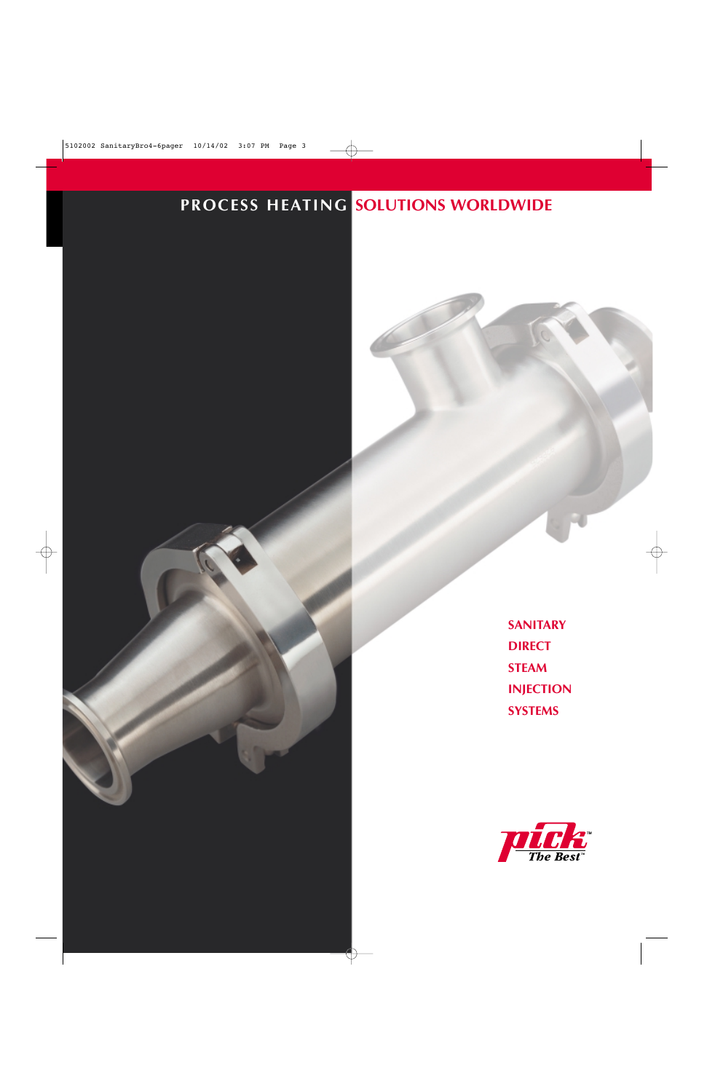### **PROCESS HEATING SOLUTIONS WORLDWIDE**

**SANITARY DIRECT STEAM INJECTION SYSTEMS**

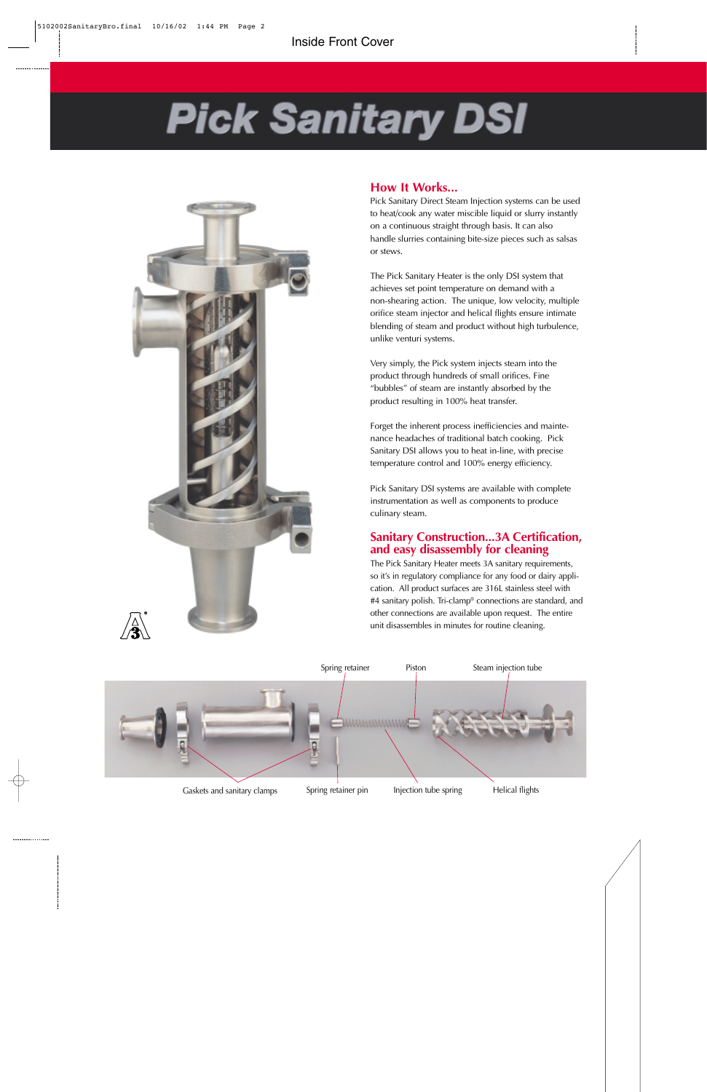# **Pick Sanitary DSI**



### **How It Works...**

Pick Sanitary Direct Steam Injection systems can be used to heat/cook any water miscible liquid or slurry instantly on a continuous straight through basis. It can also handle slurries containing bite-size pieces such as salsas or stews.

The Pick Sanitary Heater is the only DSI system that achieves set point temperature on demand with a non-shearing action. The unique, low velocity, multiple orifice steam injector and helical flights ensure intimate blending of steam and product without high turbulence, unlike venturi systems.

Very simply, the Pick system injects steam into the product through hundreds of small orifices. Fine "bubbles" of steam are instantly absorbed by the product resulting in 100% heat transfer.

Forget the inherent process inefficiencies and maintenance headaches of traditional batch cooking. Pick Sanitary DSI allows you to heat in-line, with precise temperature control and 100% energy efficiency.

Pick Sanitary DSI systems are available with complete instrumentation as well as components to produce culinary steam.

### **Sanitary Construction...3A Certification, and easy disassembly for cleaning**

The Pick Sanitary Heater meets 3A sanitary requirements, so it's in regulatory compliance for any food or dairy application. All product surfaces are 316L stainless steel with #4 sanitary polish. Tri-clamp® connections are standard, and other connections are available upon request. The entire unit disassembles in minutes for routine cleaning.

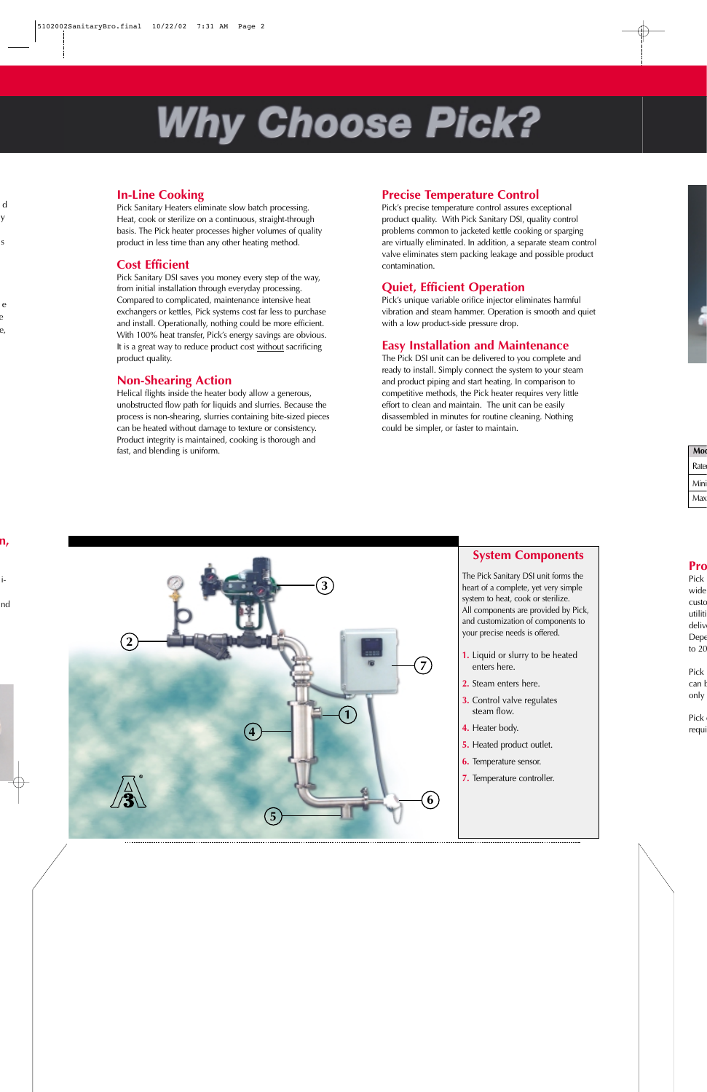# **Why Choose Pick?**

### **In-Line Cooking**

Pick Sanitary Heaters eliminate slow batch processing. Heat, cook or sterilize on a continuous, straight-through basis. The Pick heater processes higher volumes of quality product in less time than any other heating method.

### **Cost Efficient**

Pick Sanitary DSI saves you money every step of the way, from initial installation through everyday processing. Compared to complicated, maintenance intensive heat exchangers or kettles, Pick systems cost far less to purchase and install. Operationally, nothing could be more efficient. With 100% heat transfer, Pick's energy savings are obvious. It is a great way to reduce product cost without sacrificing product quality.

### **Non-Shearing Action**

Helical flights inside the heater body allow a generous, unobstructed flow path for liquids and slurries. Because the process is non-shearing, slurries containing bite-sized pieces can be heated without damage to texture or consistency. Product integrity is maintained, cooking is thorough and fast, and blending is uniform.

### **Precise Temperature Control**

Pick's precise temperature control assures exceptional product quality. With Pick Sanitary DSI, quality control problems common to jacketed kettle cooking or sparging are virtually eliminated. In addition, a separate steam control valve eliminates stem packing leakage and possible product contamination.

### **Quiet, Efficient Operation**

Pick's unique variable orifice injector eliminates harmful vibration and steam hammer. Operation is smooth and quiet with a low product-side pressure drop.

### **Easy Installation and Maintenance**

The Pick DSI unit can be delivered to you complete and ready to install. Simply connect the system to your steam and product piping and start heating. In comparison to competitive methods, the Pick heater requires very little effort to clean and maintain. The unit can be easily disassembled in minutes for routine cleaning. Nothing could be simpler, or faster to maintain.



### **System Components**

The Pick Sanitary DSI unit forms the heart of a complete, yet very simple system to heat, cook or sterilize. All components are provided by Pick, and customization of components to your precise needs is offered.

- **1.** Liquid or slurry to be heated enters here.
- **2.** Steam enters here.
- **3.** Control valve regulates steam flow.
- **4.** Heater body.
- **5.** Heated product outlet.
- **6.** Temperature sensor.
- **7.** Temperature controller.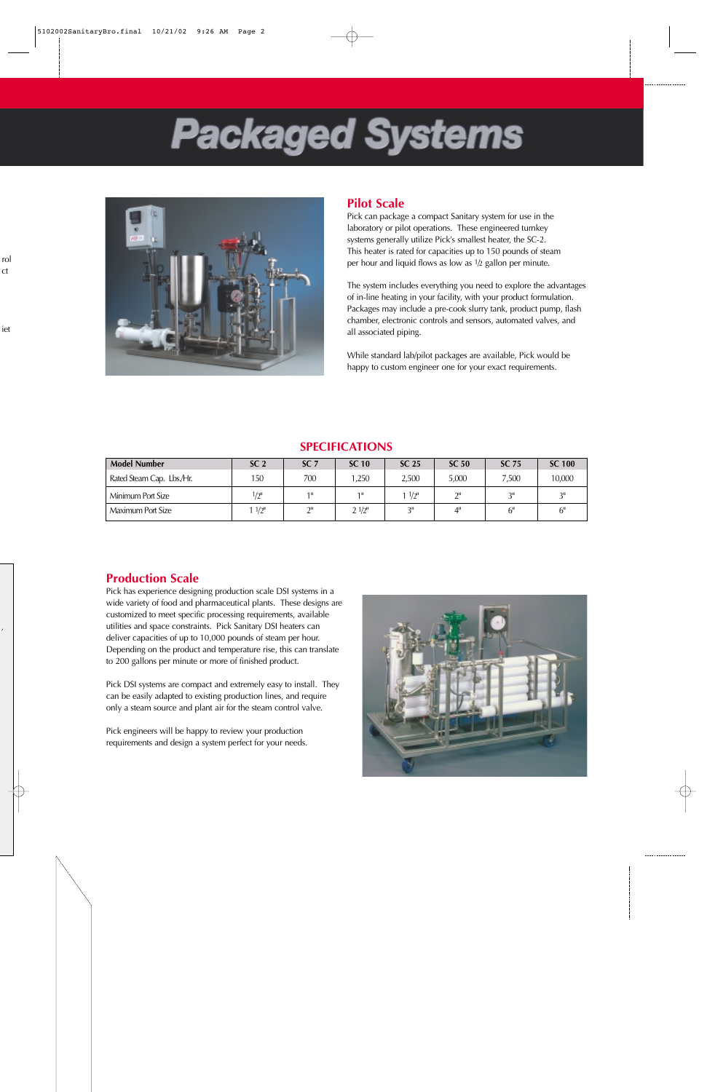### **Packaged Systems**



### **Pilot Scale**

Pick can package a compact Sanitary system for use in the laboratory or pilot operations. These engineered turnkey systems generally utilize Pick's smallest heater, the SC-2. This heater is rated for capacities up to 150 pounds of steam per hour and liquid flows as low as 1/2 gallon per minute.

The system includes everything you need to explore the advantages of in-line heating in your facility, with your product formulation. Packages may include a pre-cook slurry tank, product pump, flash chamber, electronic controls and sensors, automated valves, and all associated piping.

While standard lab/pilot packages are available, Pick would be happy to custom engineer one for your exact requirements.

### **SPECIFICATIONS**

| <b>Model Number</b>       | SC <sub>2</sub>     | SC <sub>7</sub> | <b>SC 10</b> | SC <sub>25</sub>    | <b>SC 50</b>       | <b>SC 75</b> | <b>SC 100</b>   |
|---------------------------|---------------------|-----------------|--------------|---------------------|--------------------|--------------|-----------------|
| Rated Steam Cap. Lbs./Hr. | 150                 | 700             | .250         | 2.500               | 5.000              | 7.500        | 10,000          |
| Minimum Port Size         | $1/2$ "             | 111             | $1$ II       | $1/2$ <sup>11</sup> | $\gamma$ II        | $2^{\rm H}$  | $2^{\text{II}}$ |
| Maximum Port Size         | $1/2$ <sup>11</sup> | $2^{\text{II}}$ | $2^{1/2}$    | $2^{\text{II}}$     | $4^{\prime\prime}$ |              |                 |

### **Production Scale**

Pick has experience designing production scale DSI systems in a wide variety of food and pharmaceutical plants. These designs are customized to meet specific processing requirements, available utilities and space constraints. Pick Sanitary DSI heaters can deliver capacities of up to 10,000 pounds of steam per hour. Depending on the product and temperature rise, this can translate to 200 gallons per minute or more of finished product.

Pick DSI systems are compact and extremely easy to install. They can be easily adapted to existing production lines, and require only a steam source and plant air for the steam control valve.

Pick engineers will be happy to review your production requirements and design a system perfect for your needs.